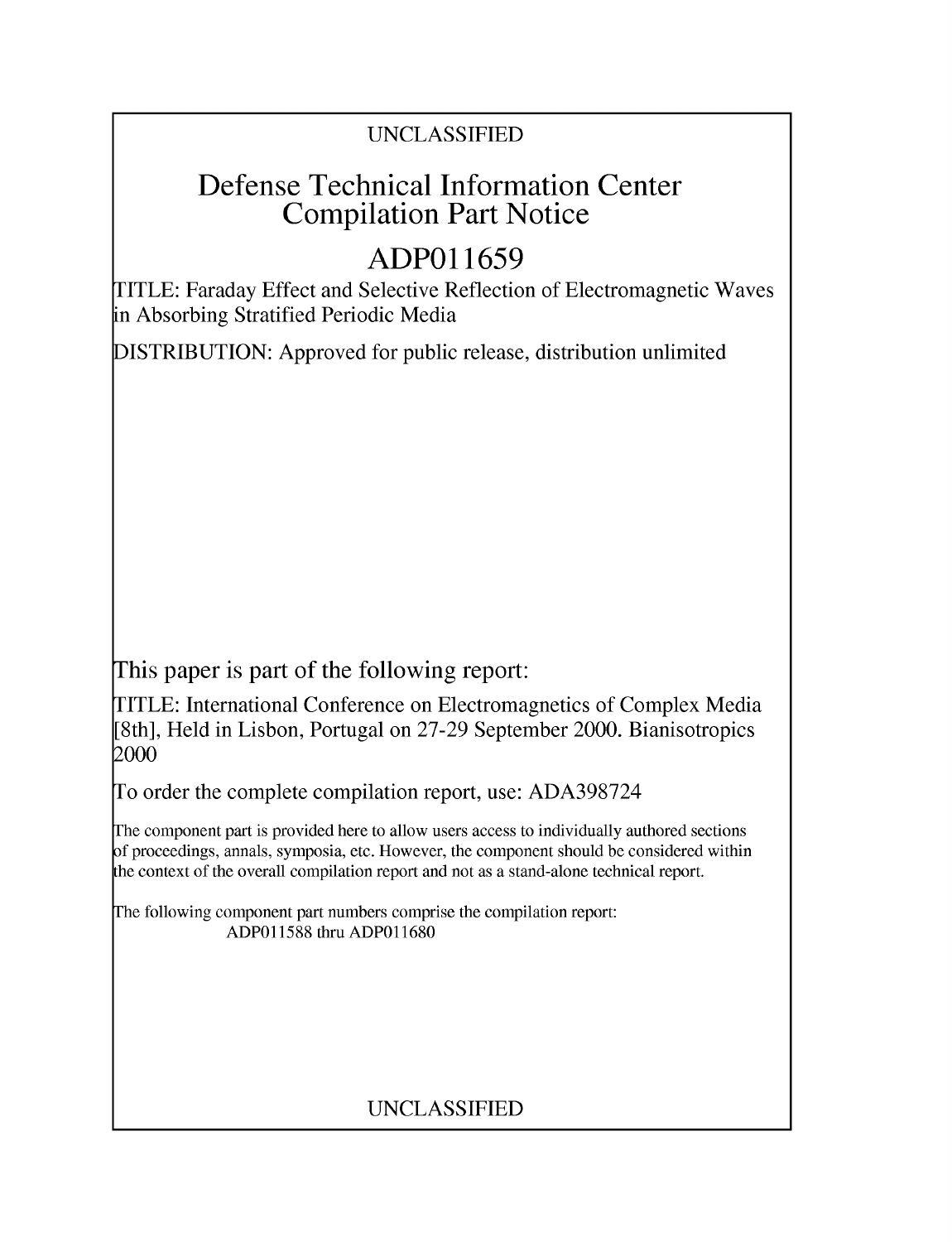### UNCLASSIFIED

## Defense Technical Information Center Compilation Part Notice

# **ADPO 11659**

TITLE: Faraday Effect and Selective Reflection of Electromagnetic Waves in Absorbing Stratified Periodic Media

DISTRIBUTION: Approved for public release, distribution unlimited

This paper is part of the following report:

TITLE: International Conference on Electromagnetics of Complex Media [8th], Held in Lisbon, Portugal on 27-29 September 2000. Bianisotropics 2000

To order the complete compilation report, use: ADA398724

The component part is provided here to allow users access to individually authored sections f proceedings, annals, symposia, etc. However, the component should be considered within [he context of the overall compilation report and not as a stand-alone technical report.

The following component part numbers comprise the compilation report: ADP011588 thru ADP011680

## UNCLASSIFIED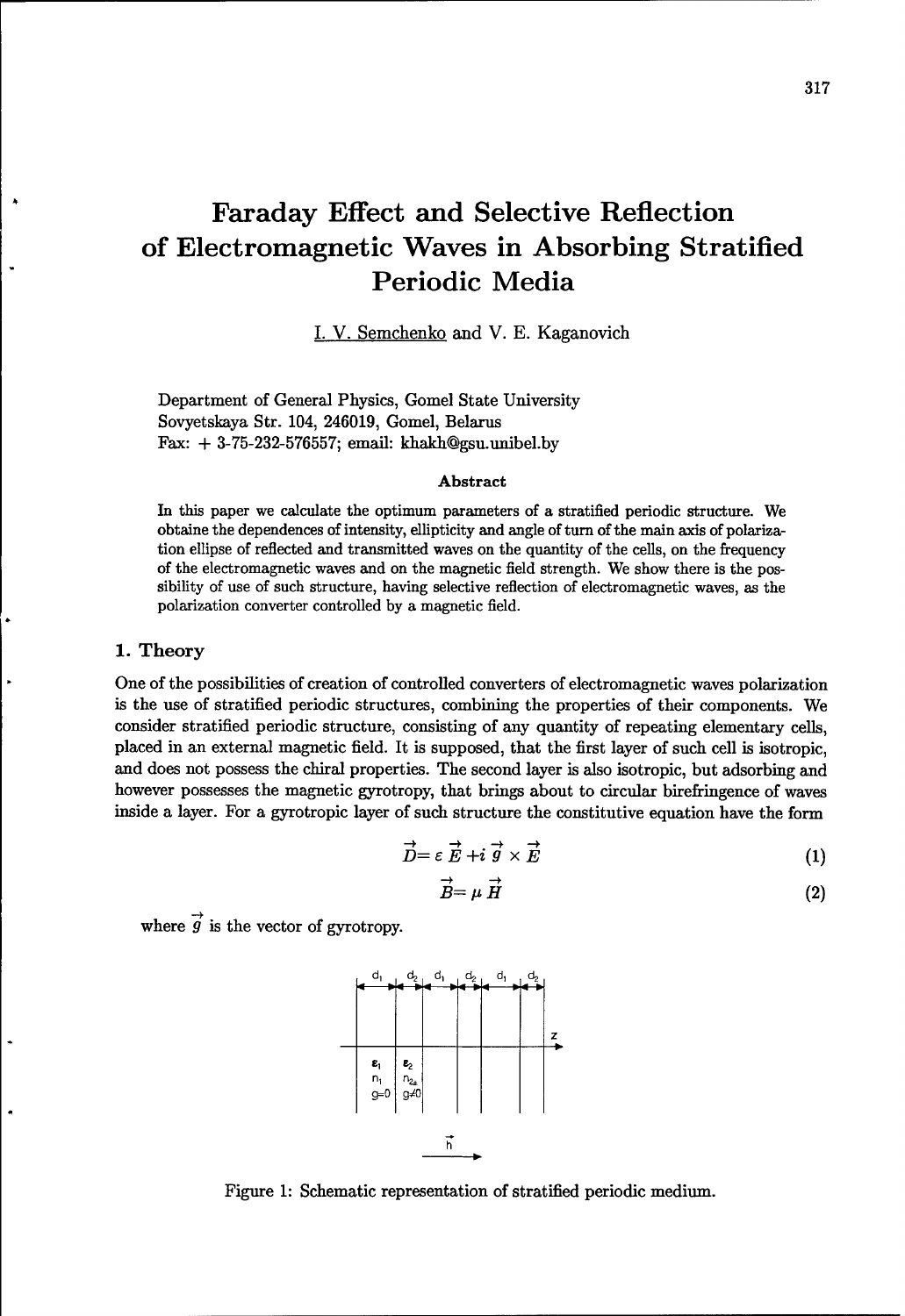## Faraday Effect and Selective Reflection of Electromagnetic Waves in Absorbing Stratified Periodic Media

I. V. Semchenko and V. **E.** Kaganovich

Department of General Physics, Gomel State University Sovyetskaya Str. 104, 246019, Gomel, Belarus Fax: + 3-75-232-576557; email: khakh@gsu.unibel.by

#### Abstract

In this paper we calculate the optimum parameters of a stratified periodic structure. We obtaine the dependences of intensity, ellipticity and angle of turn of the main axis of polarization ellipse of reflected and transmitted waves on the quantity of the cells, on the frequency of the electromagnetic waves and on the magnetic field strength. We show there is the possibility of use of such structure, having selective reflection of electromagnetic waves, as the polarization converter controlled by a magnetic field.

#### 1. Theory

One of the possibilities of creation of controlled converters of electromagnetic waves polarization is the use of stratified periodic structures, combining the properties of their components. We consider stratified periodic structure, consisting of any quantity of repeating elementary cells, placed in an external magnetic field. It is supposed, that the first layer of such cell is isotropic, and does not possess the chiral properties. The second layer is also isotropic, but adsorbing and however possesses the magnetic gyrotropy, that brings about to circular birefringence of waves inside a layer. For a gyrotropic layer of such structure the constitutive equation have the form

$$
\stackrel{\rightarrow}{D} = \varepsilon \stackrel{\rightarrow}{E} + i \stackrel{\rightarrow}{g} \times \stackrel{\rightarrow}{E} \tag{1}
$$

$$
\vec{B} = \mu \ \vec{H} \tag{2}
$$

where  $\vec{g}$  is the vector of gyrotropy.



Figure 1: Schematic representation of stratified periodic medium.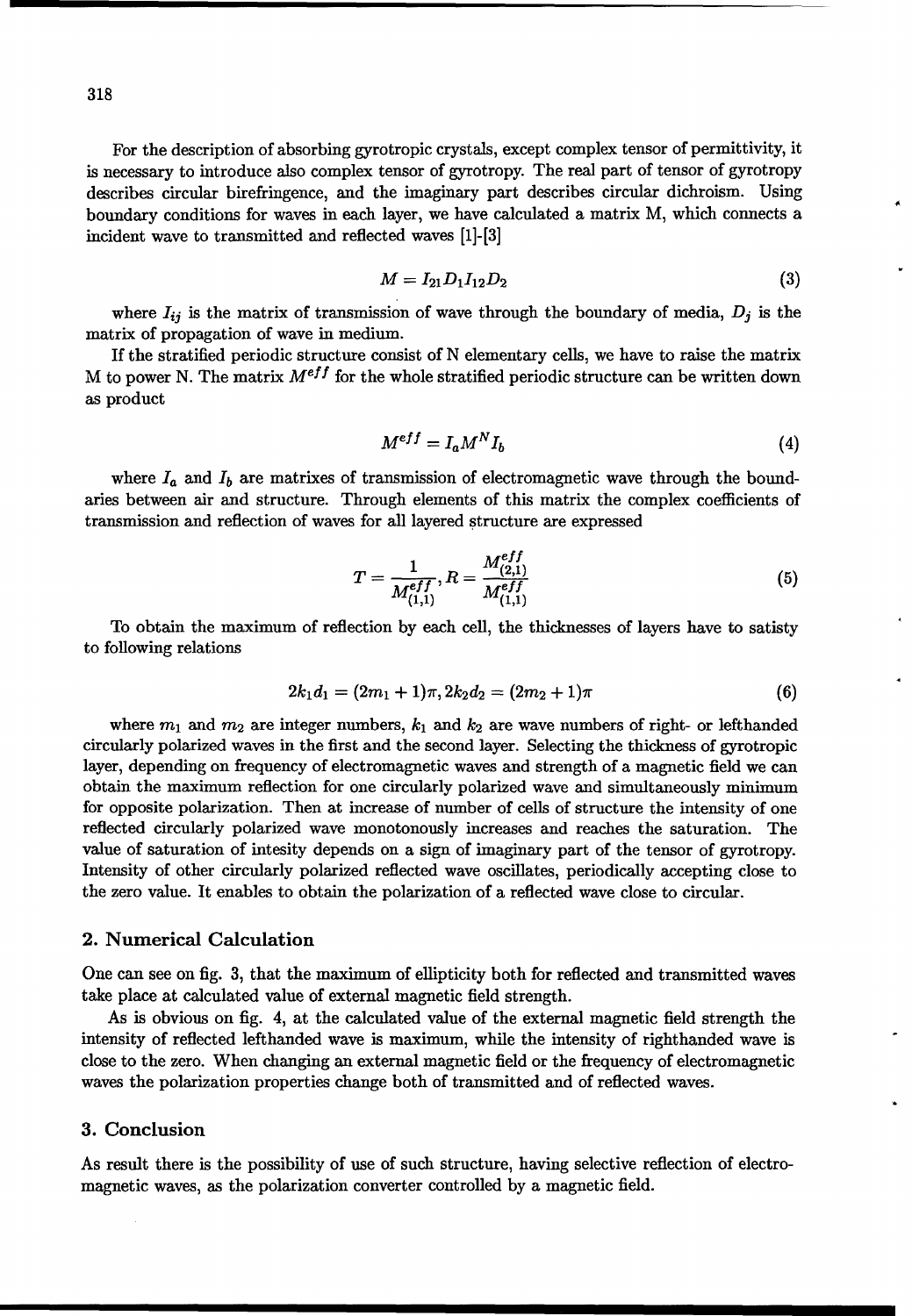For the description of absorbing gyrotropic crystals, except complex tensor of permittivity, it is necessary to introduce also complex tensor of gyrotropy. The real part of tensor of gyrotropy describes circular birefringence, and the imaginary part describes circular dichroism. Using boundary conditions for waves in each layer, we have calculated a matrix M, which connects a incident wave to transmitted and reflected waves [1]-[3]

$$
M = I_{21} D_1 I_{12} D_2 \tag{3}
$$

where  $I_{ij}$  is the matrix of transmission of wave through the boundary of media,  $D_j$  is the matrix of propagation of wave in medium.

If the stratified periodic structure consist of N elementary cells, we have to raise the matrix M to power N. The matrix  $M^{eff}$  for the whole stratified periodic structure can be written down as product

$$
M^{eff} = I_a M^N I_b \tag{4}
$$

where  $I_a$  and  $I_b$  are matrixes of transmission of electromagnetic wave through the boundaries between air and structure. Through elements of this matrix the complex coefficients of transmission and reflection of waves for all layered structure are expressed

$$
T = \frac{1}{M_{(1,1)}^{eff}}, R = \frac{M_{(2,1)}^{eff}}{M_{(1,1)}^{eff}}
$$
(5)

To obtain the maximum of reflection by each cell, the thicknesses of layers have to satisty to following relations

$$
2k_1d_1 = (2m_1 + 1)\pi, 2k_2d_2 = (2m_2 + 1)\pi \tag{6}
$$

where  $m_1$  and  $m_2$  are integer numbers,  $k_1$  and  $k_2$  are wave numbers of right- or lefthanded circularly polarized waves in the first and the second layer. Selecting the thickness of gyrotropic layer, depending on frequency of electromagnetic waves and strength of a magnetic field we can obtain the maximum reflection for one circularly polarized wave and simultaneously minimum for opposite polarization. Then at increase of number of cells of structure the intensity of one reflected circularly polarized wave monotonously increases and reaches the saturation. The value of saturation of intesity depends on a sign of imaginary part of the tensor of gyrotropy. Intensity of other circularly polarized reflected wave oscillates, periodically accepting close to the zero value. It enables to obtain the polarization of a reflected wave close to circular.

#### 2. Numerical Calculation

One can see on fig. 3, that the maximum of ellipticity both for reflected and transmitted waves take place at calculated value of external magnetic field strength.

As is obvious on fig. 4, at the calculated value of the external magnetic field strength the intensity of reflected lefthanded wave is maximum, while the intensity of righthanded wave is close to the zero. When changing an external magnetic field or the frequency of electromagnetic waves the polarization properties change both of transmitted and of reflected waves.

#### **3.** Conclusion

As result there is the possibility of use of such structure, having selective reflection of electromagnetic waves, as the polarization converter controlled by a magnetic field.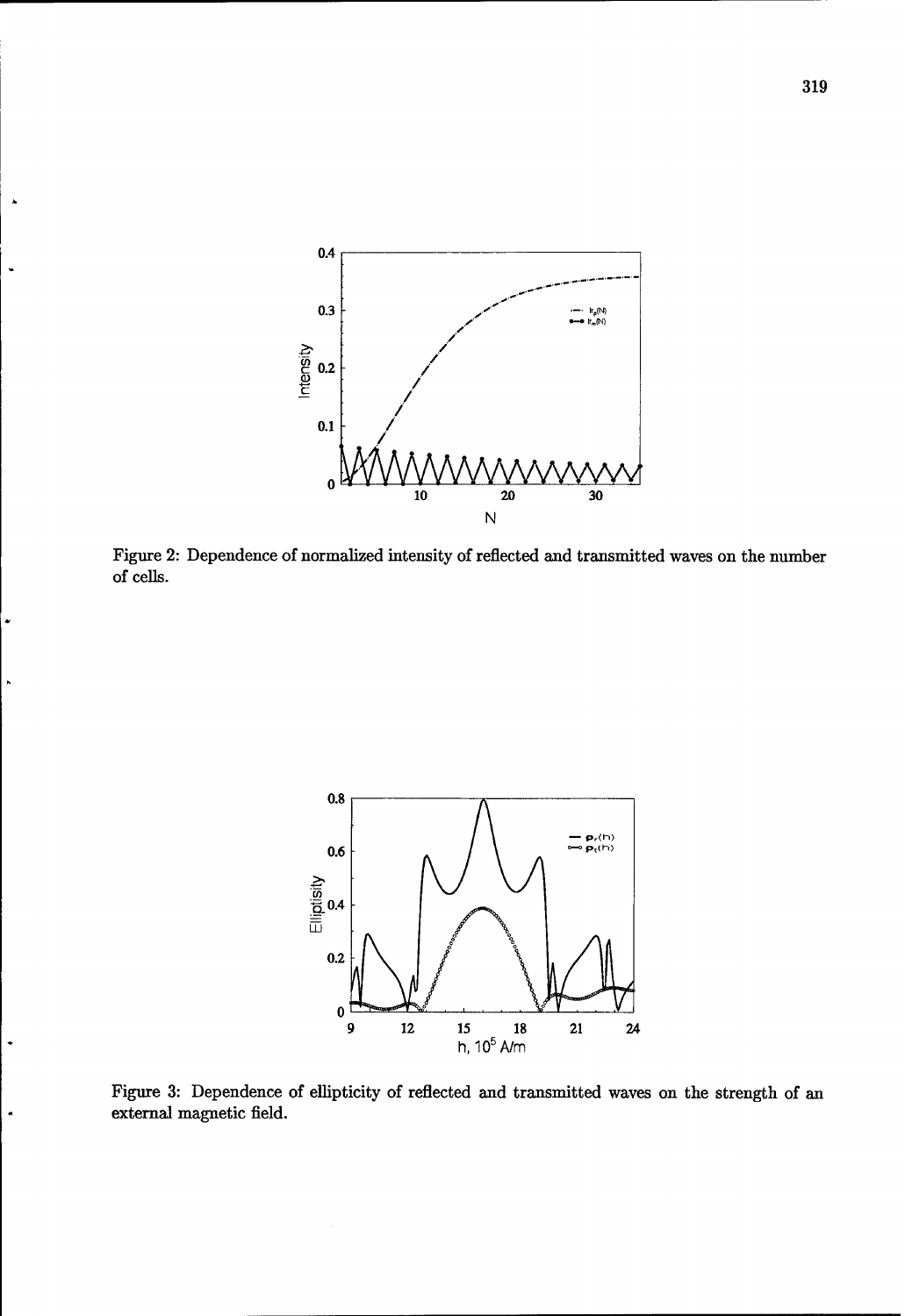

 $\lambda$ 

 $\ddot{\phantom{0}}$ 

٠

 $\ddot{\phantom{1}}$ 

 $\ddot{\phantom{0}}$ 

 $\blacksquare$ 

Figure 2: Dependence of normalized intensity of reflected and transmitted waves on the number of cells.



Figure **3:** Dependence of ellipticity of reflected and transmitted waves on the strength of an external magnetic field.